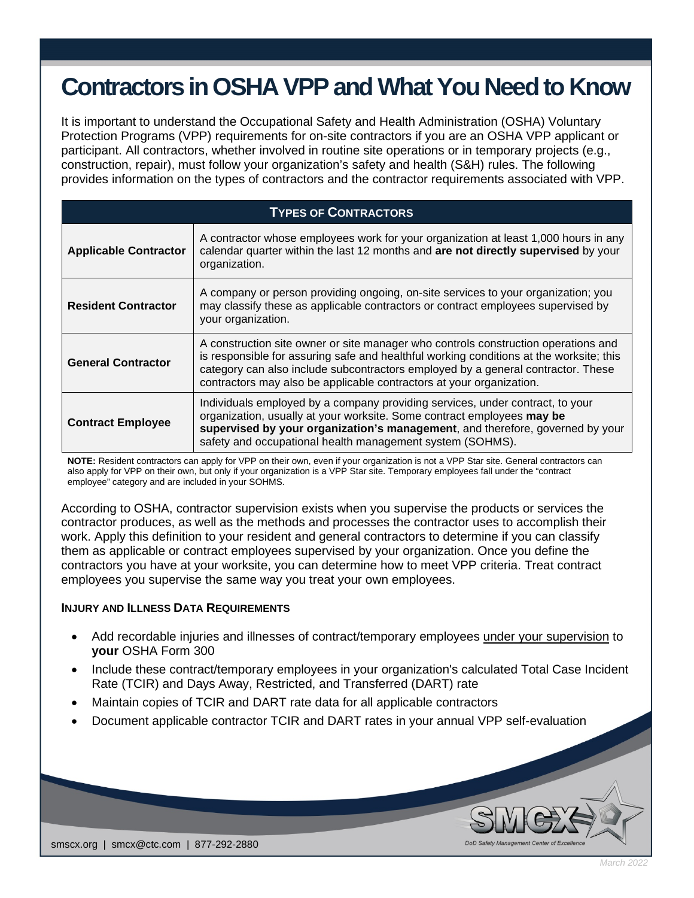## **Contractors in OSHA VPP andWhat You Need to Know**

It is important to understand the Occupational Safety and Health Administration (OSHA) Voluntary Protection Programs (VPP) requirements for on-site contractors if you are an OSHA VPP applicant or participant. All contractors, whether involved in routine site operations or in temporary projects (e.g., construction, repair), must follow your organization's safety and health (S&H) rules. The following provides information on the types of contractors and the contractor requirements associated with VPP.

| <b>TYPES OF CONTRACTORS</b>  |                                                                                                                                                                                                                                                                                                                                           |
|------------------------------|-------------------------------------------------------------------------------------------------------------------------------------------------------------------------------------------------------------------------------------------------------------------------------------------------------------------------------------------|
| <b>Applicable Contractor</b> | A contractor whose employees work for your organization at least 1,000 hours in any<br>calendar quarter within the last 12 months and are not directly supervised by your<br>organization.                                                                                                                                                |
| <b>Resident Contractor</b>   | A company or person providing ongoing, on-site services to your organization; you<br>may classify these as applicable contractors or contract employees supervised by<br>your organization.                                                                                                                                               |
| <b>General Contractor</b>    | A construction site owner or site manager who controls construction operations and<br>is responsible for assuring safe and healthful working conditions at the worksite; this<br>category can also include subcontractors employed by a general contractor. These<br>contractors may also be applicable contractors at your organization. |
| <b>Contract Employee</b>     | Individuals employed by a company providing services, under contract, to your<br>organization, usually at your worksite. Some contract employees may be<br>supervised by your organization's management, and therefore, governed by your<br>safety and occupational health management system (SOHMS).                                     |

**NOTE:** Resident contractors can apply for VPP on their own, even if your organization is not a VPP Star site. General contractors can also apply for VPP on their own, but only if your organization is a VPP Star site. Temporary employees fall under the "contract employee" category and are included in your SOHMS.

According to OSHA, contractor supervision exists when you supervise the products or services the contractor produces, as well as the methods and processes the contractor uses to accomplish their work. Apply this definition to your resident and general contractors to determine if you can classify them as applicable or contract employees supervised by your organization. Once you define the contractors you have at your worksite, you can determine how to meet VPP criteria. Treat contract employees you supervise the same way you treat your own employees.

## **INJURY AND ILLNESS DATA REQUIREMENTS**

- Add recordable injuries and illnesses of contract/temporary employees under your supervision to **your** OSHA Form 300
- Include these contract/temporary employees in your organization's calculated Total Case Incident Rate (TCIR) and Days Away, Restricted, and Transferred (DART) rate
- Maintain copies of TCIR and DART rate data for all applicable contractors
- Document applicable contractor TCIR and DART rates in your annual VPP self-evaluation



DoD Safety